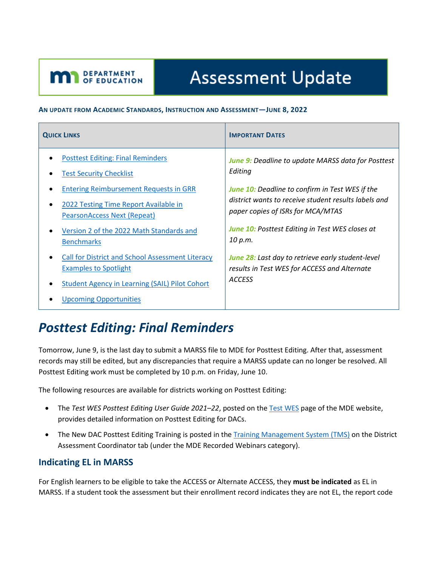# **Assessment Update**

#### **AN UPDATE FROM ACADEMIC STANDARDS, INSTRUCTION AND ASSESSMENT—JUNE 8, 2022**

<span id="page-0-1"></span>**DEPARTMENT** 

| <b>QUICK LINKS</b>                                                                      | <b>IMPORTANT DATES</b>                                                                                                    |
|-----------------------------------------------------------------------------------------|---------------------------------------------------------------------------------------------------------------------------|
| <b>Posttest Editing: Final Reminders</b>                                                | <b>June 9:</b> Deadline to update MARSS data for Posttest                                                                 |
| <b>Test Security Checklist</b>                                                          | Editing                                                                                                                   |
| <b>Entering Reimbursement Requests in GRR</b>                                           | <b>June 10:</b> Deadline to confirm in Test WES if the                                                                    |
| 2022 Testing Time Report Available in                                                   | district wants to receive student results labels and                                                                      |
| <b>PearsonAccess Next (Repeat)</b>                                                      | paper copies of ISRs for MCA/MTAS                                                                                         |
| Version 2 of the 2022 Math Standards and                                                | <b>June 10: Posttest Editing in Test WES closes at</b>                                                                    |
| <b>Benchmarks</b>                                                                       | 10 p.m.                                                                                                                   |
| <b>Call for District and School Assessment Literacy</b><br><b>Examples to Spotlight</b> | <b>June 28:</b> Last day to retrieve early student-level<br>results in Test WES for ACCESS and Alternate<br><b>ACCESS</b> |
| <b>Student Agency in Learning (SAIL) Pilot Cohort</b><br><b>Upcoming Opportunities</b>  |                                                                                                                           |

## <span id="page-0-0"></span>*Posttest Editing: Final Reminders*

Tomorrow, June 9, is the last day to submit a MARSS file to MDE for Posttest Editing. After that, assessment records may still be edited, but any discrepancies that require a MARSS update can no longer be resolved. All Posttest Editing work must be completed by 10 p.m. on Friday, June 10.

The following resources are available for districts working on Posttest Editing:

- The *Test WES Posttest Editing User Guide 2021–22*, posted on th[e Test](https://education.mn.gov/MDE/dse/datasub/TestWES/) WES page of the MDE website, provides detailed information on Posttest Editing for DACs.
- The New DAC Posttest Editing Training is posted in th[e Training Management System \(TMS\)](http://minnesota.pearsonaccessnext.com/training/) on the District Assessment Coordinator tab (under the MDE Recorded Webinars category).

#### **Indicating EL in MARSS**

For English learners to be eligible to take the ACCESS or Alternate ACCESS, they **must be indicated** as EL in MARSS. If a student took the assessment but their enrollment record indicates they are not EL, the report code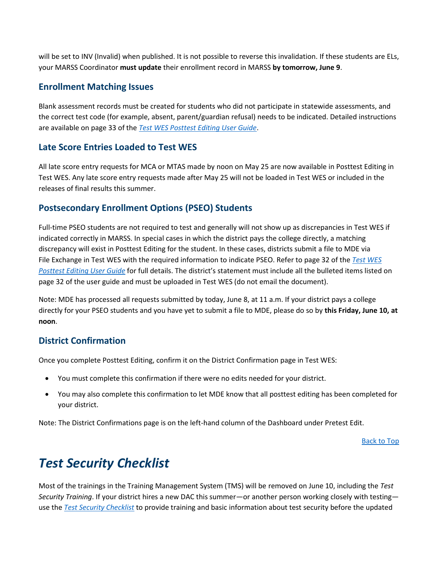will be set to INV (Invalid) when published. It is not possible to reverse this invalidation. If these students are ELs, your MARSS Coordinator **must update** their enrollment record in MARSS **by tomorrow, June 9**.

#### **Enrollment Matching Issues**

Blank assessment records must be created for students who did not participate in statewide assessments, and the correct test code (for example, absent, parent/guardian refusal) needs to be indicated. Detailed instructions are available on page 33 of the *[Test WES Posttest Editing User Guide](https://education.mn.gov/MDE/dse/datasub/TestWES/)*.

#### **Late Score Entries Loaded to Test WES**

All late score entry requests for MCA or MTAS made by noon on May 25 are now available in Posttest Editing in Test WES. Any late score entry requests made after May 25 will not be loaded in Test WES or included in the releases of final results this summer.

#### **Postsecondary Enrollment Options (PSEO) Students**

Full-time PSEO students are not required to test and generally will not show up as discrepancies in Test WES if indicated correctly in MARSS. In special cases in which the district pays the college directly, a matching discrepancy will exist in Posttest Editing for the student. In these cases, districts submit a file to MDE via File Exchange in Test WES with the required information to indicate PSEO. Refer to page 32 of the *Test [WES](https://education.mn.gov/MDE/dse/datasub/TestWES/) [Posttest Editing User Guide](https://education.mn.gov/MDE/dse/datasub/TestWES/)* for full details. The district's statement must include all the bulleted items listed on page 32 of the user guide and must be uploaded in Test WES (do not email the document).

Note: MDE has processed all requests submitted by today, June 8, at 11 a.m. If your district pays a college directly for your PSEO students and you have yet to submit a file to MDE, please do so by **this Friday, June 10, at noon**.

#### **District Confirmation**

Once you complete Posttest Editing, confirm it on the District Confirmation page in Test WES:

- You must complete this confirmation if there were no edits needed for your district.
- You may also complete this confirmation to let MDE know that all posttest editing has been completed for your district.

Note: The District Confirmations page is on the left-hand column of the Dashboard under Pretest Edit.

[Back to Top](#page-0-1)

## <span id="page-1-0"></span>*Test Security Checklist*

Most of the trainings in the Training Management System (TMS) will be removed on June 10, including the *Test Security Training*. If your district hires a new DAC this summer—or another person working closely with testing use the *[Test Security Checklist](http://minnesota.pearsonaccessnext.com/policies-and-procedures/)* to provide training and basic information about test security before the updated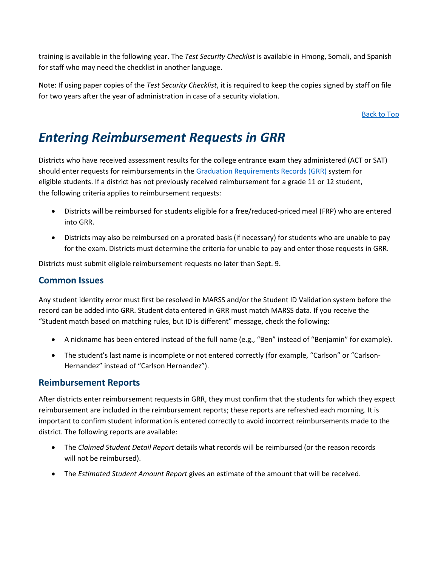training is available in the following year. The *Test Security Checklist* is available in Hmong, Somali, and Spanish for staff who may need the checklist in another language.

Note: If using paper copies of the *Test Security Checklist*, it is required to keep the copies signed by staff on file for two years after the year of administration in case of a security violation.

**[Back to Top](#page-0-1)** 

### <span id="page-2-0"></span>*Entering Reimbursement Requests in GRR*

Districts who have received assessment results for the college entrance exam they administered (ACT or SAT) should enter requests for reimbursements in the [Graduation Requirements Records \(GRR\)](https://education.mn.gov/MDE/dse/datasub/GRR/) system for eligible students. If a district has not previously received reimbursement for a grade 11 or 12 student, the following criteria applies to reimbursement requests:

- Districts will be reimbursed for students eligible for a free/reduced-priced meal (FRP) who are entered into GRR.
- Districts may also be reimbursed on a prorated basis (if necessary) for students who are unable to pay for the exam. Districts must determine the criteria for unable to pay and enter those requests in GRR.

Districts must submit eligible reimbursement requests no later than Sept. 9.

#### **Common Issues**

Any student identity error must first be resolved in MARSS and/or the Student ID Validation system before the record can be added into GRR. Student data entered in GRR must match MARSS data. If you receive the "Student match based on matching rules, but ID is different" message, check the following:

- A nickname has been entered instead of the full name (e.g., "Ben" instead of "Benjamin" for example).
- The student's last name is incomplete or not entered correctly (for example, "Carlson" or "Carlson-Hernandez" instead of "Carlson Hernandez").

#### **Reimbursement Reports**

After districts enter reimbursement requests in GRR, they must confirm that the students for which they expect reimbursement are included in the reimbursement reports; these reports are refreshed each morning. It is important to confirm student information is entered correctly to avoid incorrect reimbursements made to the district. The following reports are available:

- The *Claimed Student Detail Report* details what records will be reimbursed (or the reason records will not be reimbursed).
- The *Estimated Student Amount Report* gives an estimate of the amount that will be received.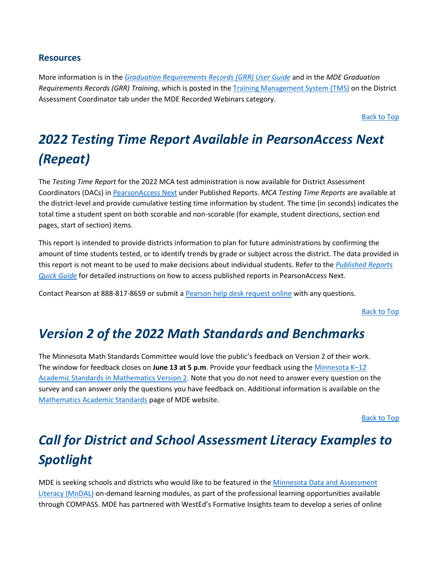#### **Resources**

More information is in the *[Graduation Requirements Records \(GRR\) User Guide](https://education.mn.gov/MDE/dse/datasub/GRR/)* and in the *MDE Graduation Requirements Records (GRR) Training*, which is posted in the [Training Management System \(TMS\)](http://minnesota.pearsonaccessnext.com/training/) on the District Assessment Coordinator tab under the MDE Recorded Webinars category.

[Back to Top](#page-0-1)

## <span id="page-3-0"></span>*2022 Testing Time Report Available in PearsonAccess Next (Repeat)*

The *Testing Time Report* for the 2022 MCA test administration is now available for District Assessment Coordinators (DACs) in [PearsonAccess](http://minnesota.pearsonaccessnext.com/pearsonaccessnext/) Next under Published Reports. *MCA Testing Time Reports* are available at the district-level and provide cumulative testing time information by student. The time (in seconds) indicates the total time a student spent on both scorable and non-scorable (for example, student directions, section end pages, start of section) items.

This report is intended to provide districts information to plan for future administrations by confirming the amount of time students tested, or to identify trends by grade or subject across the district. The data provided in this report is not meant to be used to make decisions about individual students. Refer to the *[Published Reports](http://minnesota.pearsonaccessnext.com/additional-services/)  [Quick Guide](http://minnesota.pearsonaccessnext.com/additional-services/)* for detailed instructions on how to access published reports in PearsonAccess Next.

Contact Pearson at 888-817-8659 or submit [a Pearson help desk request online](http://download.pearsonaccessnext.com/ref/WebToCase.html?p=MINNESOTA) with any questions.

[Back to Top](#page-0-1)

### <span id="page-3-1"></span>*Version 2 of the 2022 Math Standards and Benchmarks*

The Minnesota Math Standards Committee would love the public's feedback on Version 2 of their work. The window for feedback closes on **June 13 at 5 p.m**. Provide your feedback using th[e Minnesota K](https://www.surveymonkey.com/r/2ndversionmath)–12 [Academic Standards in Mathematics Version 2.](https://www.surveymonkey.com/r/2ndversionmath) Note that you do not need to answer every question on the survey and can answer only the questions you have feedback on. Additional information is available on the [Mathematics Academic Standards](https://education.mn.gov/MDE/dse/stds/Math/) page of MDE website.

[Back to Top](#page-0-1)

## <span id="page-3-2"></span>*Call for District and School Assessment Literacy Examples to Spotlight*

MDE is seeking schools and districts who would like to be featured in th[e Minnesota Data and Assessment](https://testing123.education.mn.gov/test/get/req/)  [Literacy \(MnDAL\)](https://testing123.education.mn.gov/test/get/req/) on-demand learning modules, as part of the professional learning opportunities available through COMPASS. MDE has partnered with WestEd's Formative Insights team to develop a series of online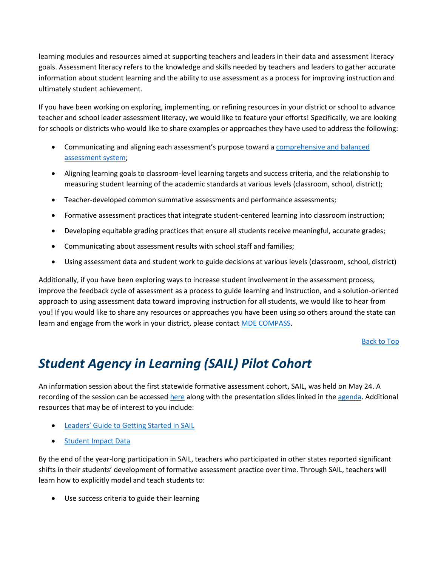learning modules and resources aimed at supporting teachers and leaders in their data and assessment literacy goals. Assessment literacy refers to the knowledge and skills needed by teachers and leaders to gather accurate information about student learning and the ability to use assessment as a process for improving instruction and ultimately student achievement.

If you have been working on exploring, implementing, or refining resources in your district or school to advance teacher and school leader assessment literacy, we would like to feature your efforts! Specifically, we are looking for schools or districts who would like to share examples or approaches they have used to address the following:

- Communicating and aligning each assessment's purpose toward a [comprehensive and balanced](https://testing123.education.mn.gov/test/assess/balance/)  [assessment system;](https://testing123.education.mn.gov/test/assess/balance/)
- Aligning learning goals to classroom-level learning targets and success criteria, and the relationship to measuring student learning of the academic standards at various levels (classroom, school, district);
- Teacher-developed common summative assessments and performance assessments;
- Formative assessment practices that integrate student-centered learning into classroom instruction;
- Developing equitable grading practices that ensure all students receive meaningful, accurate grades;
- Communicating about assessment results with school staff and families;
- Using assessment data and student work to guide decisions at various levels (classroom, school, district)

Additionally, if you have been exploring ways to increase student involvement in the assessment process, improve the feedback cycle of assessment as a process to guide learning and instruction, and a solution-oriented approach to using assessment data toward improving instruction for all students, we would like to hear from you! If you would like to share any resources or approaches you have been using so others around the state can learn and engage from the work in your district, please contact [MDE COMPASS.](mailto:compass.mde@state.mn.us)

[Back to Top](#page-0-1)

## <span id="page-4-0"></span>*Student Agency in Learning (SAIL) Pilot Cohort*

An information session about the first statewide formative assessment cohort, SAIL, was held on May 24. A recording of the session can be accesse[d here](https://gcc02.safelinks.protection.outlook.com/?url=https%3A%2F%2Fwww.youtube.com%2Fwatch%3Fv%3DZgU87CXoqF0&data=05%7C01%7CKendra.Olsen%40state.mn.us%7C272f750bea7a4e2eadb208da47e1140f%7Ceb14b04624c445198f26b89c2159828c%7C0%7C0%7C637901329267539798%7CUnknown%7CTWFpbGZsb3d8eyJWIjoiMC4wLjAwMDAiLCJQIjoiV2luMzIiLCJBTiI6Ik1haWwiLCJXVCI6Mn0%3D%7C3000%7C%7C%7C&sdata=ueUSjPmVHKdlnMOZiMOz%2BtBCOr9maw9HF186eKtOFnw%3D&reserved=0) along with the presentation slides linked in th[e agenda.](https://gcc02.safelinks.protection.outlook.com/?url=https%3A%2F%2Fwested.ent.box.com%2Fs%2Fffre46vt0vkn8fnxggsrg676hx09q2ji&data=05%7C01%7CKendra.Olsen%40state.mn.us%7C272f750bea7a4e2eadb208da47e1140f%7Ceb14b04624c445198f26b89c2159828c%7C0%7C0%7C637901329267539798%7CUnknown%7CTWFpbGZsb3d8eyJWIjoiMC4wLjAwMDAiLCJQIjoiV2luMzIiLCJBTiI6Ik1haWwiLCJXVCI6Mn0%3D%7C3000%7C%7C%7C&sdata=niRBcrNx3QHviVj%2BRY%2FfqzNQauCfo%2FJb5b5fETVppSE%3D&reserved=0) Additional resources that may be of interest to you include:

- [Leaders' Guide to Getting Started in SAIL](https://gcc02.safelinks.protection.outlook.com/?url=https%3A%2F%2Fwested.ent.box.com%2Fs%2Flox0txle11rkngfpi54ouweiybz9oem0&data=05%7C01%7CKendra.Olsen%40state.mn.us%7C272f750bea7a4e2eadb208da47e1140f%7Ceb14b04624c445198f26b89c2159828c%7C0%7C0%7C637901329267539798%7CUnknown%7CTWFpbGZsb3d8eyJWIjoiMC4wLjAwMDAiLCJQIjoiV2luMzIiLCJBTiI6Ik1haWwiLCJXVCI6Mn0%3D%7C3000%7C%7C%7C&sdata=JIhUI0xW%2FfJvVuntPG%2B%2BcIr4Q4DAEdCp28VGA8LfExY%3D&reserved=0)
- [Student Impact Data](https://gcc02.safelinks.protection.outlook.com/?url=https%3A%2F%2Fwested.ent.box.com%2Fs%2Fqu1gyvag7bofk8q7ow8ge2wg02adjage&data=05%7C01%7CKendra.Olsen%40state.mn.us%7C272f750bea7a4e2eadb208da47e1140f%7Ceb14b04624c445198f26b89c2159828c%7C0%7C0%7C637901329267539798%7CUnknown%7CTWFpbGZsb3d8eyJWIjoiMC4wLjAwMDAiLCJQIjoiV2luMzIiLCJBTiI6Ik1haWwiLCJXVCI6Mn0%3D%7C3000%7C%7C%7C&sdata=pxHdDPBMUQcLHIcXP7vZP2jQEnu6GXjl2xIRuIUY1u4%3D&reserved=0)

By the end of the year-long participation in SAIL, teachers who participated in other states reported significant shifts in their students' development of formative assessment practice over time. Through SAIL, teachers will learn how to explicitly model and teach students to:

Use success criteria to guide their learning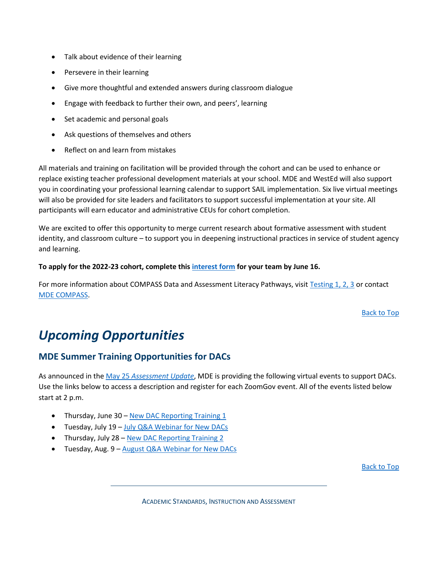- Talk about evidence of their learning
- Persevere in their learning
- Give more thoughtful and extended answers during classroom dialogue
- Engage with feedback to further their own, and peers', learning
- Set academic and personal goals
- Ask questions of themselves and others
- Reflect on and learn from mistakes

All materials and training on facilitation will be provided through the cohort and can be used to enhance or replace existing teacher professional development materials at your school. MDE and WestEd will also support you in coordinating your professional learning calendar to support SAIL implementation. Six live virtual meetings will also be provided for site leaders and facilitators to support successful implementation at your site. All participants will earn educator and administrative CEUs for cohort completion.

We are excited to offer this opportunity to merge current research about formative assessment with student identity, and classroom culture – to support you in deepening instructional practices in service of student agency and learning.

#### **To apply for the 2022-23 cohort, complete this [interest form](https://gcc02.safelinks.protection.outlook.com/?url=https%3A%2F%2Fdocs.google.com%2Fforms%2Fd%2Fe%2F1FAIpQLSfUfY6OcLZ0VglNmIWPOasEMLtv1pLAYv2B63uc2dssvE2YWw%2Fviewform%3Fusp%3Dsf_link&data=05%7C01%7CKendra.Olsen%40state.mn.us%7C272f750bea7a4e2eadb208da47e1140f%7Ceb14b04624c445198f26b89c2159828c%7C0%7C0%7C637901329267539798%7CUnknown%7CTWFpbGZsb3d8eyJWIjoiMC4wLjAwMDAiLCJQIjoiV2luMzIiLCJBTiI6Ik1haWwiLCJXVCI6Mn0%3D%7C3000%7C%7C%7C&sdata=C9ROisv5A1SYzbVZrpBysva6B43NSP5MClIDS9SevHI%3D&reserved=0) for your team by June 16.**

For more information about COMPASS Data and Assessment Literacy Pathways, visit [Testing 1, 2, 3](https://testing123.education.mn.gov/test/get/req/) or contact [MDE COMPASS.](mailto:compass.mde@state.mn.us)

[Back to Top](#page-0-1)

## <span id="page-5-0"></span>*Upcoming Opportunities*

#### **MDE Summer Training Opportunities for DACs**

As announced in the May 25 *[Assessment Update](http://minnesota.pearsonaccessnext.com/mde-updates/assessment-update/)*, MDE is providing the following virtual events to support DACs. Use the links below to access a description and register for each ZoomGov event. All of the events listed below start at 2 p.m.

- Thursday, June 30 [New DAC Reporting Training 1](https://www.zoomgov.com/meeting/register/vJIsce2uqjspExM2kjnLN1Zh_2YAX4_4PnA)
- Tuesday, July 19 [July Q&A Webinar for New DACs](https://www.zoomgov.com/meeting/register/vJIsdOugpzsjHiFiix6PJ_2Kqe82edMUAr4)
- Thursday, July 28 [New DAC Reporting Training 2](https://www.zoomgov.com/meeting/register/vJItc-qorjosHXlcX5lefT1tgRvLQVESavE)
- Tuesday, Aug. 9 [August Q&A Webinar for New DACs](https://www.zoomgov.com/meeting/register/vJItf-2vqzwpEkYwU0eBHY-CmrYTJ4fGh4o)

[Back to Top](#page-0-1)

ACADEMIC STANDARDS, INSTRUCTION AND ASSESSMENT